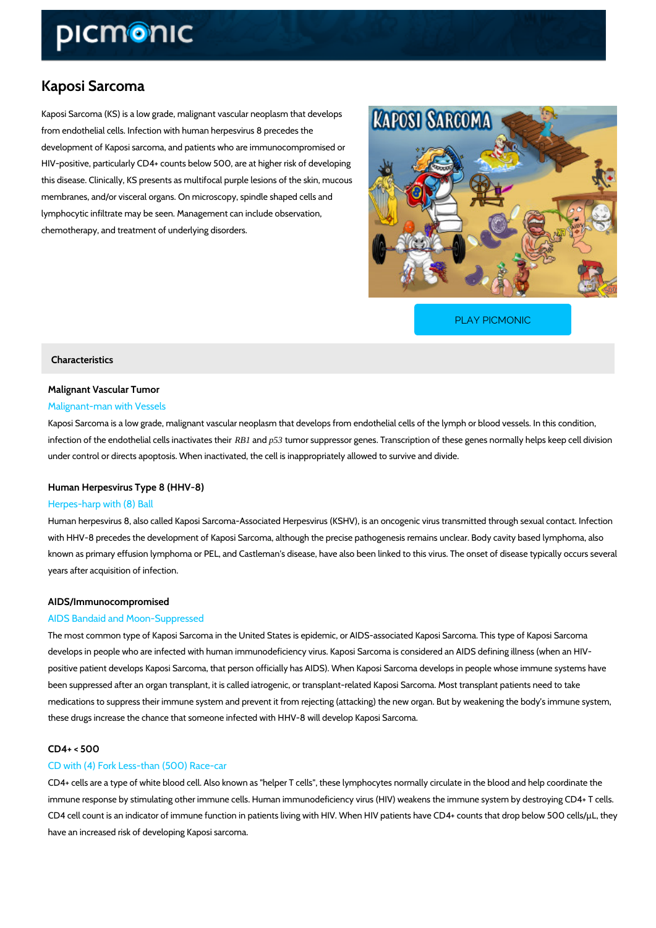# Kaposi Sarcoma

Kaposi Sarcoma (KS) is a low grade, malignant vascular neoplasm that develops from endothelial cells. Infection with human herpesvirus 8 precedes the development of Kaposi sarcoma, and patients who are immunocompromised or HIV-positive, particularly CD4+ counts below 500, are at higher risk of developing this disease. Clinically, KS presents as multifocal purple lesions of the skin, mucous membranes, and/or visceral organs. On microscopy, spindle shaped cells and lymphocytic infiltrate may be seen. Management can include observation, chemotherapy, and treatment of underlying disorders.

[PLAY PICMONIC](https://www.picmonic.com/learn/kaposi-sarcoma_50269?utm_source=downloadable_content&utm_medium=distributedcontent&utm_campaign=pathways_pdf&utm_content=Kaposi Sarcoma&utm_ad_group=leads&utm_market=all)

# Characteristics

# Malignant Vascular Tumor Malignant-man with Vessels

# Kaposi Sarcoma is a low grade, malignant vascular neoplasm that develops from endothelial c infection of the endothelial c**RB1** samp**63 tumores upper e**s sor genes. Transcription of these genes no

# under control or directs apoptosis. When inactivated, the cell is inappropriately allowed to su

# Human Herpesvirus Type 8 (HHV-8)

# Herpes-harp with (8) Ball

Human herpesvirus 8, also called Kaposi Sarcoma-Associated Herpesvirus (KSHV), is an oncog with HHV-8 precedes the development of Kaposi Sarcoma, although the precise pathogenesis remains unclear. known as primary effusion lymphoma or PEL, and Castleman's disease, have also been linked years after acquisition of infection.

# AIDS/Immunocompromised

# AIDS Bandaid and Moon-Suppressed

The most common type of Kaposi Sarcoma in the United States is epidemic, or AIDS-associate develops in people who are infected with human immunodeficiency virus. Kaposi Sarcoma is co positive patient develops Kaposi Sarcoma, that person officially has AIDS). When Kaposi Sarc been suppressed after an organ transplant, it is called iatrogenic, or transplant-related Kapos medications to suppress their immune system and prevent it from rejecting (attacking) the new these drugs increase the chance that someone infected with HHV-8 will develop Kaposi Sarcor

# $CD4+ < 500$

# CD with (4) Fork Less-than (500) Race-car

CD4+ cells are a type of white blood cell. Also known as "helper T cells", these lymphocytes i immune response by stimulating other immune cells. Human immunodeficiency virus (HIV) wea CD4 cell count is an indicator of immune function in patients living with HIV. When HIV patier have an increased risk of developing Kaposi sarcoma.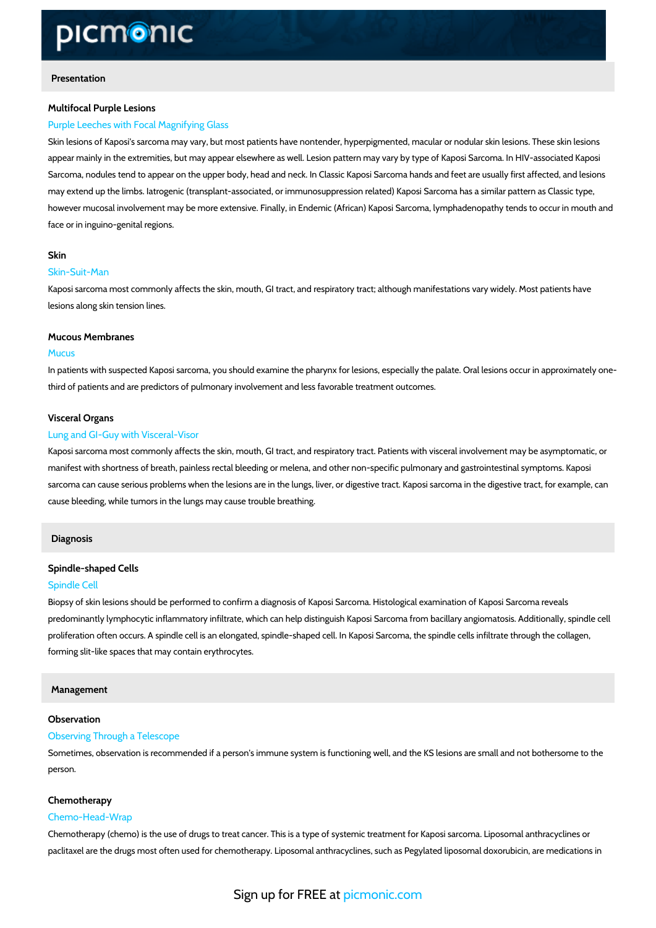# Presentation

#### Multifocal Purple Lesions

## Purple Leeches with Focal Magnifying Glass

Skin lesions of Kaposi's sarcoma may vary, but most patients have nontender, hyperpigmented appear mainly in the extremities, but may appear elsewhere as well. Lesion pattern may vary Sarcoma, nodules tend to appear on the upper body, head and neck. In Classic Kaposi Sarcom may extend up the limbs. Iatrogenic (transplant-associated, or immunosuppression related) Ka however mucosal involvement may be more extensive. Finally, in Endemic (African) Kaposi Sa face or in inguino-genital regions.

#### Skin

### Skin-Suit-Man

Kaposi sarcoma most commonly affects the skin, mouth, GI tract, and respiratory tract; althou lesions along skin tension lines.

#### Mucous Membranes

#### Mucus

In patients with suspected Kaposi sarcoma, you should examine the pharynx for lesions, espee third of patients and are predictors of pulmonary involvement and less favorable treatment ou

#### Visceral Organs

#### Lung and GI-Guy with Visceral-Visor

Kaposi sarcoma most commonly affects the skin, mouth, GI tract, and respiratory tract. Patien manifest with shortness of breath, painless rectal bleeding or melena, and other non-specific sarcoma can cause serious problems when the lesions are in the lungs, liver, or digestive trad cause bleeding, while tumors in the lungs may cause trouble breathing.

## Diagnosis

#### Spindle-shaped Cells

#### Spindle Cell

Biopsy of skin lesions should be performed to confirm a diagnosis of Kaposi Sarcoma. Histolo predominantly lymphocytic inflammatory infiltrate, which can help distinguish Kaposi Sarcoma proliferation often occurs. A spindle cell is an elongated, spindle-shaped cell. In Kaposi Sarc forming slit-like spaces that may contain erythrocytes.

#### Management

#### Observation

#### Observing Through a Telescope

Sometimes, observation is recommended if a person's immune system is functioning well, and person.

#### Chemotherapy

#### Chemo-Head-Wrap

Chemotherapy (chemo) is the use of drugs to treat cancer. This is a type of systemic treatmer paclitaxel are the drugs most often used for chemotherapy. Liposomal anthracyclines, such as